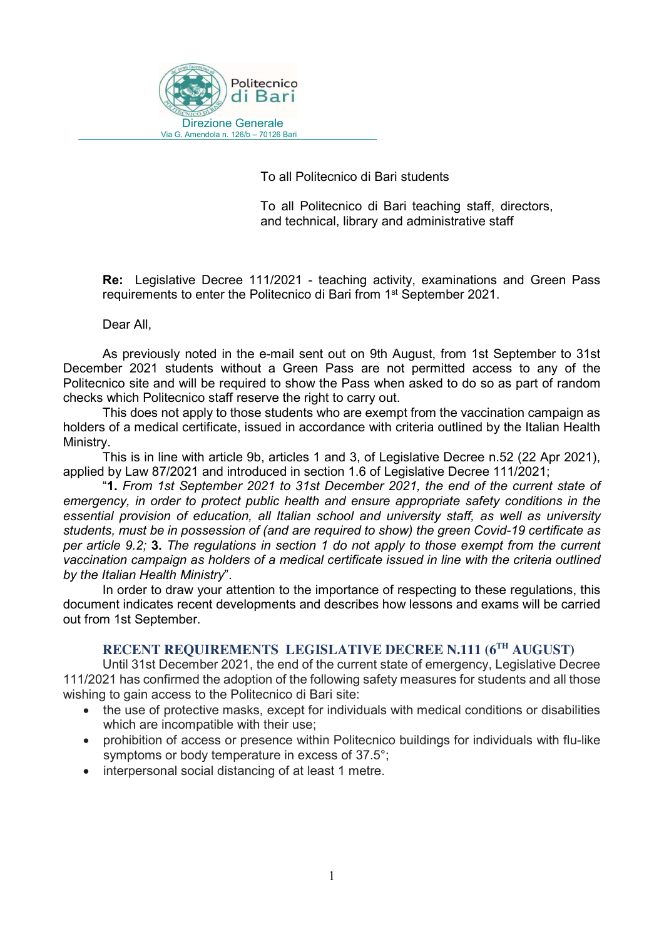

To all Politecnico di Bari students

 To all Politecnico di Bari teaching staff, directors, and technical, library and administrative staff

Re: Legislative Decree 111/2021 - teaching activity, examinations and Green Pass requirements to enter the Politecnico di Bari from 1<sup>st</sup> September 2021.

Dear All,

As previously noted in the e-mail sent out on 9th August, from 1st September to 31st December 2021 students without a Green Pass are not permitted access to any of the Politecnico site and will be required to show the Pass when asked to do so as part of random checks which Politecnico staff reserve the right to carry out.

This does not apply to those students who are exempt from the vaccination campaign as holders of a medical certificate, issued in accordance with criteria outlined by the Italian Health Ministry.

This is in line with article 9b, articles 1 and 3, of Legislative Decree n.52 (22 Apr 2021), applied by Law 87/2021 and introduced in section 1.6 of Legislative Decree 111/2021;

"1. From 1st September 2021 to 31st December 2021, the end of the current state of emergency, in order to protect public health and ensure appropriate safety conditions in the essential provision of education, all Italian school and university staff, as well as university students, must be in possession of (and are required to show) the green Covid-19 certificate as per article 9.2; 3. The regulations in section 1 do not apply to those exempt from the current vaccination campaign as holders of a medical certificate issued in line with the criteria outlined by the Italian Health Ministry".

 In order to draw your attention to the importance of respecting to these regulations, this document indicates recent developments and describes how lessons and exams will be carried out from 1st September.

### RECENT REQUIREMENTS LEGISLATIVE DECREE N.111 (6<sup>TH</sup> AUGUST)

Until 31st December 2021, the end of the current state of emergency, Legislative Decree 111/2021 has confirmed the adoption of the following safety measures for students and all those wishing to gain access to the Politecnico di Bari site:

- the use of protective masks, except for individuals with medical conditions or disabilities which are incompatible with their use;
- prohibition of access or presence within Politecnico buildings for individuals with flu-like symptoms or body temperature in excess of 37.5°;
- interpersonal social distancing of at least 1 metre.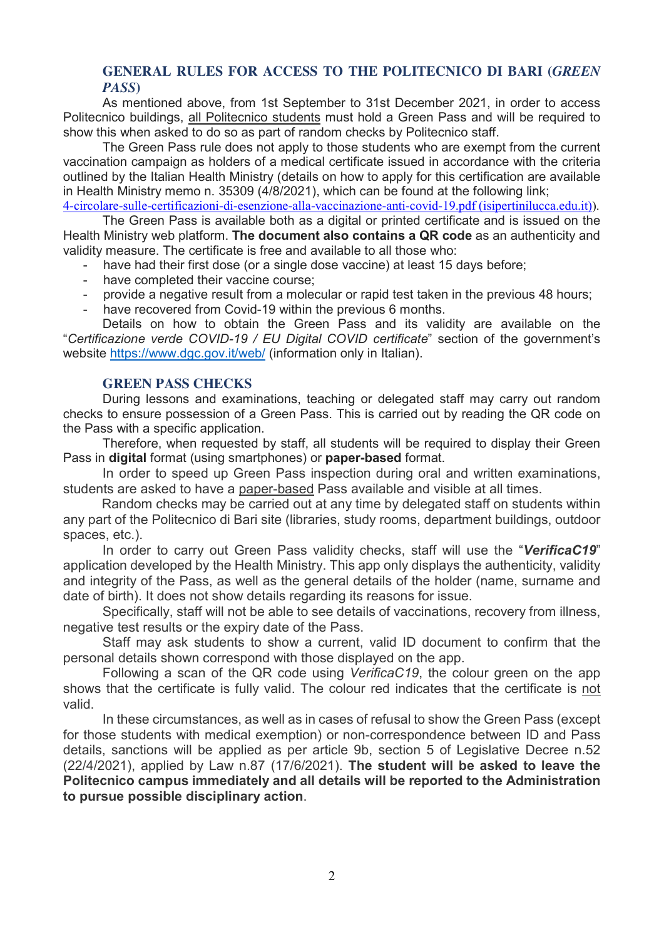## GENERAL RULES FOR ACCESS TO THE POLITECNICO DI BARI (GREEN PASS)

As mentioned above, from 1st September to 31st December 2021, in order to access Politecnico buildings, all Politecnico students must hold a Green Pass and will be required to show this when asked to do so as part of random checks by Politecnico staff.

The Green Pass rule does not apply to those students who are exempt from the current vaccination campaign as holders of a medical certificate issued in accordance with the criteria outlined by the Italian Health Ministry (details on how to apply for this certification are available in Health Ministry memo n. 35309 (4/8/2021), which can be found at the following link;

4-circolare-sulle-certificazioni-di-esenzione-alla-vaccinazione-anti-covid-19.pdf (isipertinilucca.edu.it)).

The Green Pass is available both as a digital or printed certificate and is issued on the Health Ministry web platform. The document also contains a QR code as an authenticity and validity measure. The certificate is free and available to all those who:

have had their first dose (or a single dose vaccine) at least 15 days before;

- have completed their vaccine course;
- provide a negative result from a molecular or rapid test taken in the previous 48 hours;
- have recovered from Covid-19 within the previous 6 months.

 Details on how to obtain the Green Pass and its validity are available on the "Certificazione verde COVID-19 / EU Digital COVID certificate" section of the government's website https://www.dgc.gov.it/web/ (information only in Italian).

### GREEN PASS CHECKS

During lessons and examinations, teaching or delegated staff may carry out random checks to ensure possession of a Green Pass. This is carried out by reading the QR code on the Pass with a specific application.

Therefore, when requested by staff, all students will be required to display their Green Pass in digital format (using smartphones) or paper-based format.

In order to speed up Green Pass inspection during oral and written examinations, students are asked to have a paper-based Pass available and visible at all times.

 Random checks may be carried out at any time by delegated staff on students within any part of the Politecnico di Bari site (libraries, study rooms, department buildings, outdoor spaces, etc.).

In order to carry out Green Pass validity checks, staff will use the "VerificaC19" application developed by the Health Ministry. This app only displays the authenticity, validity and integrity of the Pass, as well as the general details of the holder (name, surname and date of birth). It does not show details regarding its reasons for issue.

Specifically, staff will not be able to see details of vaccinations, recovery from illness, negative test results or the expiry date of the Pass.

Staff may ask students to show a current, valid ID document to confirm that the personal details shown correspond with those displayed on the app.

Following a scan of the QR code using VerificaC19, the colour green on the app shows that the certificate is fully valid. The colour red indicates that the certificate is not valid.

In these circumstances, as well as in cases of refusal to show the Green Pass (except for those students with medical exemption) or non-correspondence between ID and Pass details, sanctions will be applied as per article 9b, section 5 of Legislative Decree n.52 (22/4/2021), applied by Law n.87 (17/6/2021). The student will be asked to leave the Politecnico campus immediately and all details will be reported to the Administration to pursue possible disciplinary action.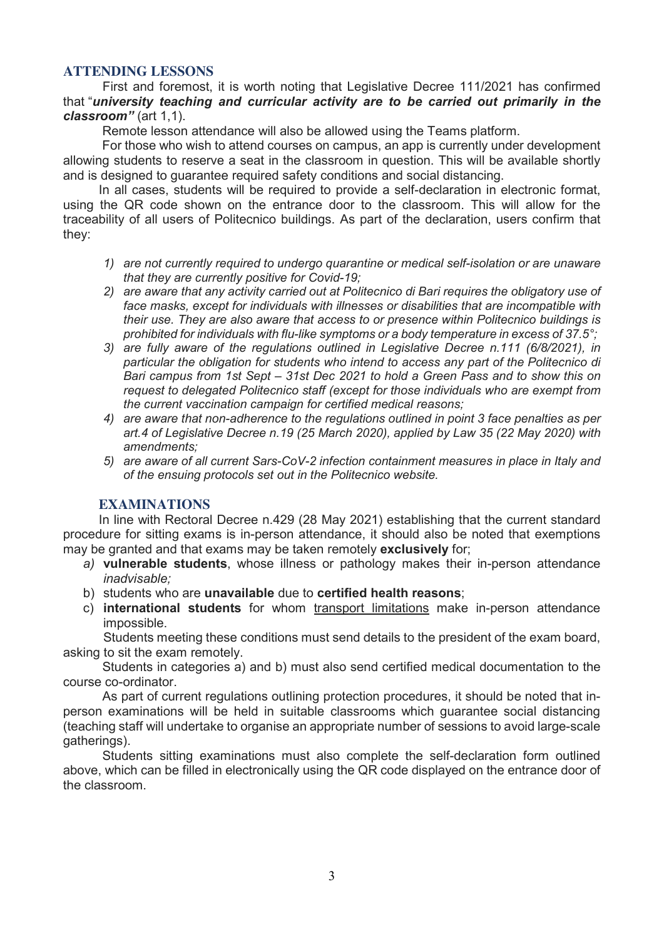### ATTENDING LESSONS

First and foremost, it is worth noting that Legislative Decree 111/2021 has confirmed that "university teaching and curricular activity are to be carried out primarily in the classroom" (art 1,1).

Remote lesson attendance will also be allowed using the Teams platform.

 For those who wish to attend courses on campus, an app is currently under development allowing students to reserve a seat in the classroom in question. This will be available shortly and is designed to guarantee required safety conditions and social distancing.

 In all cases, students will be required to provide a self-declaration in electronic format, using the QR code shown on the entrance door to the classroom. This will allow for the traceability of all users of Politecnico buildings. As part of the declaration, users confirm that they:

- 1) are not currently required to undergo quarantine or medical self-isolation or are unaware that they are currently positive for Covid-19;
- 2) are aware that any activity carried out at Politecnico di Bari requires the obligatory use of face masks, except for individuals with illnesses or disabilities that are incompatible with their use. They are also aware that access to or presence within Politecnico buildings is prohibited for individuals with flu-like symptoms or a body temperature in excess of 37.5°;
- 3) are fully aware of the regulations outlined in Legislative Decree n.111 (6/8/2021), in particular the obligation for students who intend to access any part of the Politecnico di Bari campus from 1st Sept – 31st Dec 2021 to hold a Green Pass and to show this on request to delegated Politecnico staff (except for those individuals who are exempt from the current vaccination campaign for certified medical reasons;
- 4) are aware that non-adherence to the regulations outlined in point 3 face penalties as per art.4 of Legislative Decree n.19 (25 March 2020), applied by Law 35 (22 May 2020) with amendments;
- 5) are aware of all current Sars-CoV-2 infection containment measures in place in Italy and of the ensuing protocols set out in the Politecnico website.

# EXAMINATIONS

 In line with Rectoral Decree n.429 (28 May 2021) establishing that the current standard procedure for sitting exams is in-person attendance, it should also be noted that exemptions may be granted and that exams may be taken remotely exclusively for;

- a) vulnerable students, whose illness or pathology makes their in-person attendance inadvisable;
- b) students who are unavailable due to certified health reasons;
- c) international students for whom transport limitations make in-person attendance impossible.

Students meeting these conditions must send details to the president of the exam board, asking to sit the exam remotely.

 Students in categories a) and b) must also send certified medical documentation to the course co-ordinator.

 As part of current regulations outlining protection procedures, it should be noted that inperson examinations will be held in suitable classrooms which guarantee social distancing (teaching staff will undertake to organise an appropriate number of sessions to avoid large-scale gatherings).

 Students sitting examinations must also complete the self-declaration form outlined above, which can be filled in electronically using the QR code displayed on the entrance door of the classroom.